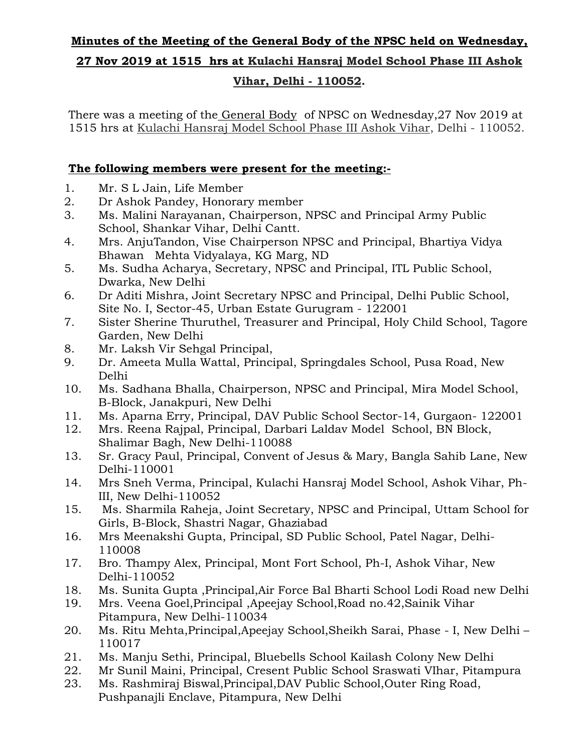## **Minutes of the Meeting of the General Body of the NPSC held on Wednesday,**

#### **27 Nov 2019 at 1515 hrs at Kulachi Hansraj Model School Phase III Ashok**

### **Vihar, Delhi - 110052.**

There was a meeting of the General Body of NPSC on Wednesday,27 Nov 2019 at 1515 hrs at Kulachi Hansraj Model School Phase III Ashok Vihar, Delhi - 110052.

# **The following members were present for the meeting:-**

- 1. Mr. S L Jain, Life Member
- 2. Dr Ashok Pandey, Honorary member
- 3. Ms. Malini Narayanan, Chairperson, NPSC and Principal Army Public School, Shankar Vihar, Delhi Cantt.
- 4. Mrs. AnjuTandon, Vise Chairperson NPSC and Principal, Bhartiya Vidya Bhawan Mehta Vidyalaya, KG Marg, ND
- 5. Ms. Sudha Acharya, Secretary, NPSC and Principal, ITL Public School, Dwarka, New Delhi
- 6. Dr Aditi Mishra, Joint Secretary NPSC and Principal, Delhi Public School, Site No. I, Sector-45, Urban Estate Gurugram - 122001
- 7. Sister Sherine Thuruthel, Treasurer and Principal, Holy Child School, Tagore Garden, New Delhi
- 8. Mr. Laksh Vir Sehgal Principal,
- 9. Dr. Ameeta Mulla Wattal, Principal, Springdales School, Pusa Road, New Delhi
- 10. Ms. Sadhana Bhalla, Chairperson, NPSC and Principal, Mira Model School, B-Block, Janakpuri, New Delhi
- 11. Ms. Aparna Erry, Principal, DAV Public School Sector-14, Gurgaon- 122001
- 12. Mrs. Reena Rajpal, Principal, Darbari Laldav Model School, BN Block, Shalimar Bagh, New Delhi-110088
- 13. Sr. Gracy Paul, Principal, Convent of Jesus & Mary, Bangla Sahib Lane, New Delhi-110001
- 14. Mrs Sneh Verma, Principal, Kulachi Hansraj Model School, Ashok Vihar, Ph-III, New Delhi-110052
- 15. Ms. Sharmila Raheja, Joint Secretary, NPSC and Principal, Uttam School for Girls, B-Block, Shastri Nagar, Ghaziabad
- 16. Mrs Meenakshi Gupta, Principal, SD Public School, Patel Nagar, Delhi-110008
- 17. Bro. Thampy Alex, Principal, Mont Fort School, Ph-I, Ashok Vihar, New Delhi-110052
- 18. Ms. Sunita Gupta ,Principal,Air Force Bal Bharti School Lodi Road new Delhi
- 19. Mrs. Veena Goel,Principal ,Apeejay School,Road no.42,Sainik Vihar Pitampura, New Delhi-110034
- 20. Ms. Ritu Mehta,Principal,Apeejay School,Sheikh Sarai, Phase I, New Delhi 110017
- 21. Ms. Manju Sethi, Principal, Bluebells School Kailash Colony New Delhi
- 22. Mr Sunil Maini, Principal, Cresent Public School Sraswati VIhar, Pitampura
- 23. Ms. Rashmiraj Biswal,Principal,DAV Public School,Outer Ring Road, Pushpanajli Enclave, Pitampura, New Delhi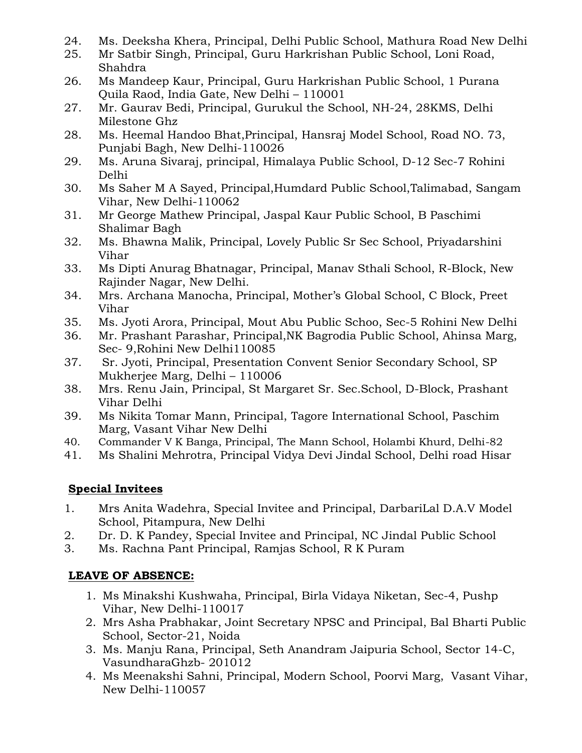- 24. Ms. Deeksha Khera, Principal, Delhi Public School, Mathura Road New Delhi
- 25. Mr Satbir Singh, Principal, Guru Harkrishan Public School, Loni Road, Shahdra
- 26. Ms Mandeep Kaur, Principal, Guru Harkrishan Public School, 1 Purana Quila Raod, India Gate, New Delhi – 110001
- 27. Mr. Gaurav Bedi, Principal, Gurukul the School, NH-24, 28KMS, Delhi Milestone Ghz
- 28. Ms. Heemal Handoo Bhat,Principal, Hansraj Model School, Road NO. 73, Punjabi Bagh, New Delhi-110026
- 29. Ms. Aruna Sivaraj, principal, Himalaya Public School, D-12 Sec-7 Rohini Delhi
- 30. Ms Saher M A Sayed, Principal,Humdard Public School,Talimabad, Sangam Vihar, New Delhi-110062
- 31. Mr George Mathew Principal, Jaspal Kaur Public School, B Paschimi Shalimar Bagh
- 32. Ms. Bhawna Malik, Principal, Lovely Public Sr Sec School, Priyadarshini Vihar
- 33. Ms Dipti Anurag Bhatnagar, Principal, Manav Sthali School, R-Block, New Rajinder Nagar, New Delhi.
- 34. Mrs. Archana Manocha, Principal, Mother's Global School, C Block, Preet Vihar
- 35. Ms. Jyoti Arora, Principal, Mout Abu Public Schoo, Sec-5 Rohini New Delhi
- 36. Mr. Prashant Parashar, Principal,NK Bagrodia Public School, Ahinsa Marg, Sec- 9, Rohini New Delhi110085
- 37. Sr. Jyoti, Principal, Presentation Convent Senior Secondary School, SP Mukherjee Marg, Delhi – 110006
- 38. Mrs. Renu Jain, Principal, St Margaret Sr. Sec.School, D-Block, Prashant Vihar Delhi
- 39. Ms Nikita Tomar Mann, Principal, Tagore International School, Paschim Marg, Vasant Vihar New Delhi
- 40. Commander V K Banga, Principal, The Mann School, Holambi Khurd, Delhi-82
- 41. Ms Shalini Mehrotra, Principal Vidya Devi Jindal School, Delhi road Hisar

# **Special Invitees**

- 1. Mrs Anita Wadehra, Special Invitee and Principal, DarbariLal D.A.V Model School, Pitampura, New Delhi
- 2. Dr. D. K Pandey, Special Invitee and Principal, NC Jindal Public School
- 3. Ms. Rachna Pant Principal, Ramjas School, R K Puram

# **LEAVE OF ABSENCE:**

- 1. Ms Minakshi Kushwaha, Principal, Birla Vidaya Niketan, Sec-4, Pushp Vihar, New Delhi-110017
- 2. Mrs Asha Prabhakar, Joint Secretary NPSC and Principal, Bal Bharti Public School, Sector-21, Noida
- 3. Ms. Manju Rana, Principal, Seth Anandram Jaipuria School, Sector 14-C, VasundharaGhzb- 201012
- 4. Ms Meenakshi Sahni, Principal, Modern School, Poorvi Marg, Vasant Vihar, New Delhi-110057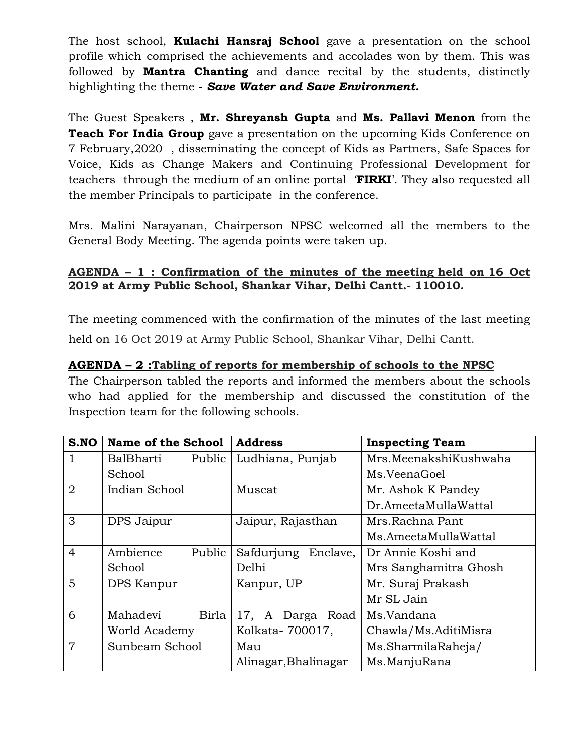The host school, **Kulachi Hansraj School** gave a presentation on the school profile which comprised the achievements and accolades won by them. This was followed by **Mantra Chanting** and dance recital by the students, distinctly highlighting the theme - *Save Water and Save Environment.*

The Guest Speakers , **Mr. Shreyansh Gupta** and **Ms. Pallavi Menon** from the **Teach For India Group** gave a presentation on the upcoming Kids Conference on 7 February,2020 , disseminating the concept of Kids as Partners, Safe Spaces for Voice, Kids as Change Makers and Continuing Professional Development for teachers through the medium of an online portal '**FIRKI**'. They also requested all the member Principals to participate in the conference.

Mrs. Malini Narayanan, Chairperson NPSC welcomed all the members to the General Body Meeting. The agenda points were taken up.

#### **AGENDA – 1 : Confirmation of the minutes of the meeting held on 16 Oct 2019 at Army Public School, Shankar Vihar, Delhi Cantt.- 110010.**

The meeting commenced with the confirmation of the minutes of the last meeting held on 16 Oct 2019 at Army Public School, Shankar Vihar, Delhi Cantt.

#### **AGENDA – 2 :Tabling of reports for membership of schools to the NPSC**

The Chairperson tabled the reports and informed the members about the schools who had applied for the membership and discussed the constitution of the Inspection team for the following schools.

| S.NO           | <b>Name of the School</b> | <b>Address</b>         | <b>Inspecting Team</b> |
|----------------|---------------------------|------------------------|------------------------|
| 1              | BalBharti<br>Public       | Ludhiana, Punjab       | Mrs.MeenakshiKushwaha  |
|                | School                    |                        | Ms.VeenaGoel           |
| 2              | Indian School             | Muscat                 | Mr. Ashok K Pandey     |
|                |                           |                        | Dr.AmeetaMullaWattal   |
| 3              | DPS Jaipur                | Jaipur, Rajasthan      | Mrs.Rachna Pant        |
|                |                           |                        | Ms.AmeetaMullaWattal   |
| $\overline{4}$ | Ambience<br>Public        | Safdurjung<br>Enclave, | Dr Annie Koshi and     |
|                | School                    | Delhi                  | Mrs Sanghamitra Ghosh  |
| 5              | DPS Kanpur                | Kanpur, UP             | Mr. Suraj Prakash      |
|                |                           |                        | Mr SL Jain             |
| 6              | Mahadevi<br>Birla         | 17, A Darga Road       | Ms.Vandana             |
|                | World Academy             | Kolkata-700017,        | Chawla/Ms.AditiMisra   |
| $\overline{7}$ | Sunbeam School            | Mau                    | Ms.SharmilaRaheja/     |
|                |                           | Alinagar, Bhalinagar   | Ms.ManjuRana           |